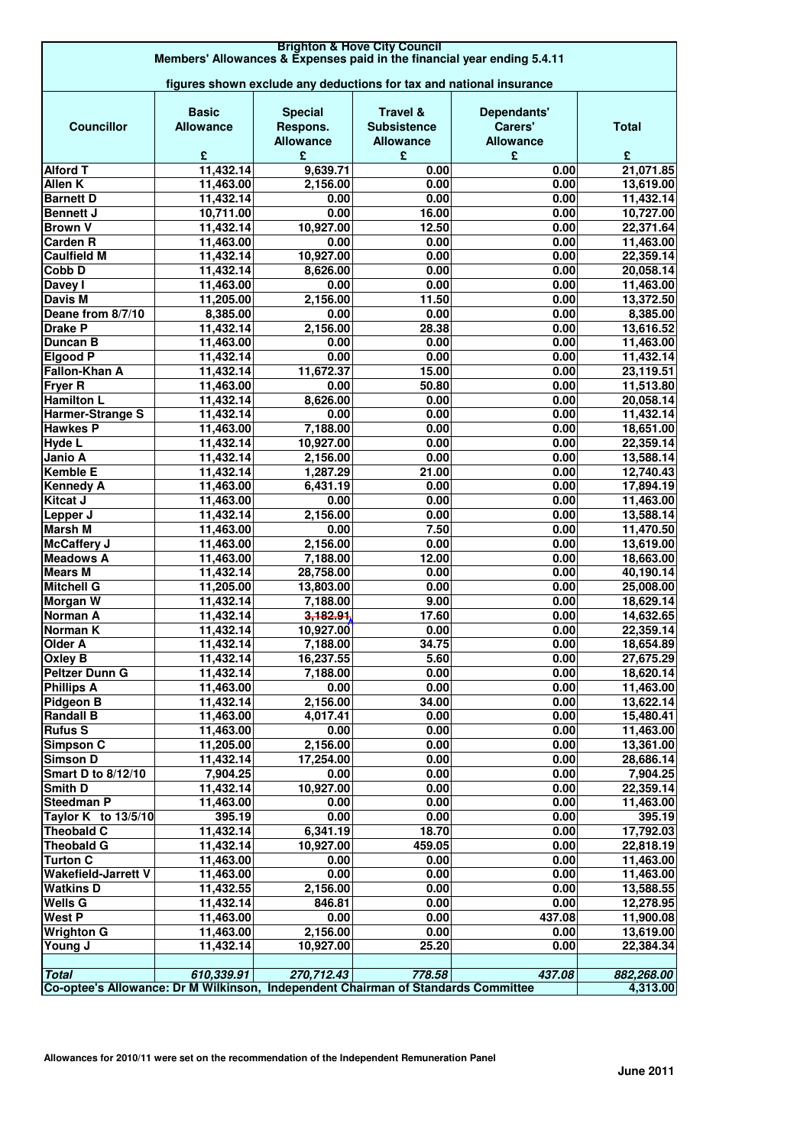| <b>Brighton &amp; Hove City Council</b>                                                           |                                                                     |                       |                     |                  |                        |  |
|---------------------------------------------------------------------------------------------------|---------------------------------------------------------------------|-----------------------|---------------------|------------------|------------------------|--|
| Members' Allowances & Expenses paid in the financial year ending 5.4.11                           |                                                                     |                       |                     |                  |                        |  |
|                                                                                                   | figures shown exclude any deductions for tax and national insurance |                       |                     |                  |                        |  |
|                                                                                                   |                                                                     |                       |                     |                  |                        |  |
|                                                                                                   | <b>Basic</b>                                                        | <b>Special</b>        | <b>Travel &amp;</b> | Dependants'      |                        |  |
| <b>Councillor</b>                                                                                 | <b>Allowance</b>                                                    | Respons.              | <b>Subsistence</b>  | Carers'          | <b>Total</b>           |  |
|                                                                                                   |                                                                     | <b>Allowance</b>      | <b>Allowance</b>    | <b>Allowance</b> |                        |  |
| <b>Alford T</b>                                                                                   | £<br>11,432.14                                                      | £<br>9,639.71         | £<br>0.00           | £<br>0.00        | £<br>21,071.85         |  |
| <b>Allen K</b>                                                                                    | 11,463.00                                                           | 2,156.00              | 0.00                | 0.00             | 13,619.00              |  |
| <b>Barnett D</b>                                                                                  | 11,432.14                                                           | 0.00                  | 0.00                | 0.00             | 11,432.14              |  |
| <b>Bennett J</b>                                                                                  | 10,711.00                                                           | 0.00                  | 16.00               | 0.00             | 10,727.00              |  |
| <b>Brown V</b>                                                                                    | 11,432.14                                                           | 10,927.00             | 12.50               | 0.00             | 22,371.64              |  |
| Carden <sub>R</sub>                                                                               | 11,463.00                                                           | 0.00                  | 0.00                | 0.00             | 11,463.00              |  |
| <b>Caulfield M</b>                                                                                | 11,432.14                                                           | 10,927.00             | 0.00                | 0.00             | 22,359.14              |  |
| Cobb D                                                                                            | 11,432.14                                                           | 8,626.00              | 0.00                | 0.00             | 20,058.14              |  |
| Davey I                                                                                           | 11,463.00                                                           | 0.00                  | 0.00                | 0.00             | 11,463.00              |  |
| <b>Davis M</b>                                                                                    | 11,205.00                                                           | 2,156.00              | 11.50               | 0.00             | 13,372.50              |  |
| Deane from 8/7/10                                                                                 | 8,385.00                                                            | 0.00                  | 0.00                | 0.00             | 8,385.00               |  |
| <b>Drake P</b>                                                                                    | 11,432.14                                                           | 2,156.00              | 28.38               | 0.00             | 13,616.52              |  |
| <b>Duncan B</b>                                                                                   | 11,463.00                                                           | 0.00                  | 0.00                | 0.00             | 11,463.00              |  |
| <b>Elgood P</b><br>Fallon-Khan A                                                                  | 11,432.14                                                           | 0.00                  | 0.00                | 0.00<br>0.00     | 11,432.14              |  |
| <b>Fryer R</b>                                                                                    | 11,432.14<br>11,463.00                                              | 11,672.37<br>0.00     | 15.00<br>50.80      | 0.00             | 23,119.51<br>11,513.80 |  |
| <b>Hamilton L</b>                                                                                 | 11,432.14                                                           | 8,626.00              | 0.00                | 0.00             | 20,058.14              |  |
| Harmer-Strange S                                                                                  | 11,432.14                                                           | 0.00                  | 0.00                | 0.00             | 11,432.14              |  |
| <b>Hawkes P</b>                                                                                   | 11,463.00                                                           | 7,188.00              | 0.00                | 0.00             | 18,651.00              |  |
| Hyde L                                                                                            | 11,432.14                                                           | 10,927.00             | 0.00                | 0.00             | 22,359.14              |  |
| Janio A                                                                                           | 11,432.14                                                           | 2,156.00              | 0.00                | 0.00             | 13,588.14              |  |
| <b>Kemble E</b>                                                                                   | 11,432.14                                                           | 1,287.29              | 21.00               | 0.00             | 12,740.43              |  |
| <b>Kennedy A</b>                                                                                  | 11,463.00                                                           | 6,431.19              | 0.00                | 0.00             | 17,894.19              |  |
| <b>Kitcat J</b>                                                                                   | 11,463.00                                                           | 0.00                  | 0.00                | 0.00             | 11,463.00              |  |
| Lepper J                                                                                          | 11,432.14                                                           | 2,156.00              | 0.00                | 0.00             | 13,588.14              |  |
| Marsh M                                                                                           | 11,463.00                                                           | 0.00                  | 7.50                | 0.00             | 11,470.50              |  |
| McCaffery J                                                                                       | 11,463.00                                                           | 2,156.00              | 0.00                | 0.00             | 13,619.00              |  |
| <b>Meadows A</b>                                                                                  | 11,463.00                                                           | 7,188.00              | 12.00               | 0.00             | 18,663.00              |  |
| <b>Mears M</b><br><b>Mitchell G</b>                                                               | 11,432.14                                                           | 28,758.00             | 0.00                | 0.00<br>0.00     | 40,190.14              |  |
| Morgan W                                                                                          | 11,205.00<br>11,432.14                                              | 13,803.00<br>7,188.00 | 0.00<br>9.00        | 0.00             | 25,008.00<br>18,629.14 |  |
| Norman A                                                                                          | 11,432.14                                                           | 3,182.91              | 17.60               | 0.00             | 14,632.65              |  |
| Norman K                                                                                          | 11,432.14                                                           | 10,927.00             | 0.00                | 0.00             | 22,359.14              |  |
| Older A                                                                                           | 11,432.14                                                           | 7,188.00              | 34.75               | 0.00             | 18,654.89              |  |
| <b>Oxley B</b>                                                                                    | 11,432.14                                                           | 16,237.55             | 5.60                | 0.00             | 27,675.29              |  |
| <b>Peltzer Dunn G</b>                                                                             | 11,432.14                                                           | 7,188.00              | 0.00                | 0.00             | 18,620.14              |  |
| <b>Phillips A</b>                                                                                 | 11,463.00                                                           | 0.00                  | 0.00                | 0.00             | 11,463.00              |  |
| Pidgeon B                                                                                         | 11,432.14                                                           | 2,156.00              | 34.00               | 0.00             | 13,622.14              |  |
| <b>Randall B</b>                                                                                  | 11,463.00                                                           | 4,017.41              | 0.00                | 0.00             | 15,480.41              |  |
| <b>Rufus S</b>                                                                                    | 11,463.00                                                           | 0.00                  | 0.00                | 0.00             | 11,463.00              |  |
| <b>Simpson C</b>                                                                                  | 11,205.00                                                           | 2,156.00              | 0.00                | 0.00             | 13,361.00              |  |
| <b>Simson D</b>                                                                                   | 11,432.14                                                           | 17,254.00             | 0.00                | 0.00             | 28,686.14              |  |
| <b>Smart D to 8/12/10</b>                                                                         | 7,904.25                                                            | 0.00                  | 0.00                | 0.00             | 7,904.25               |  |
| Smith D<br><b>Steedman P</b>                                                                      | 11,432.14                                                           | 10,927.00             | 0.00                | 0.00<br>0.00     | 22,359.14              |  |
| Taylor K to 13/5/10                                                                               | 11,463.00<br>395.19                                                 | 0.00<br>0.00          | 0.00<br>0.00        | 0.00             | 11,463.00<br>395.19    |  |
| <b>Theobald C</b>                                                                                 | 11,432.14                                                           | 6,341.19              | 18.70               | 0.00             | 17,792.03              |  |
| <b>Theobald G</b>                                                                                 | 11,432.14                                                           | 10,927.00             | 459.05              | 0.00             | 22,818.19              |  |
| <b>Turton C</b>                                                                                   | 11,463.00                                                           | 0.00                  | 0.00                | 0.00             | 11,463.00              |  |
| <b>Wakefield-Jarrett V</b>                                                                        | 11,463.00                                                           | 0.00                  | 0.00                | 0.00             | 11,463.00              |  |
| <b>Watkins D</b>                                                                                  | 11,432.55                                                           | 2,156.00              | 0.00                | 0.00             | 13,588.55              |  |
| <b>Wells G</b>                                                                                    | 11,432.14                                                           | 846.81                | 0.00                | 0.00             | 12,278.95              |  |
| <b>West P</b>                                                                                     | 11,463.00                                                           | 0.00                  | 0.00                | 437.08           | 11,900.08              |  |
| <b>Wrighton G</b>                                                                                 | 11,463.00                                                           | 2,156.00              | 0.00                | 0.00             | 13,619.00              |  |
| Young J                                                                                           | 11,432.14                                                           | 10,927.00             | 25.20               | 0.00             | 22,384.34              |  |
|                                                                                                   |                                                                     |                       |                     |                  |                        |  |
| <b>Total</b><br>Co-optee's Allowance: Dr M Wilkinson, Independent Chairman of Standards Committee | 610,339.91                                                          | 270,712.43            | 778.58              | 437.08           | 882,268.00<br>4,313.00 |  |
|                                                                                                   |                                                                     |                       |                     |                  |                        |  |